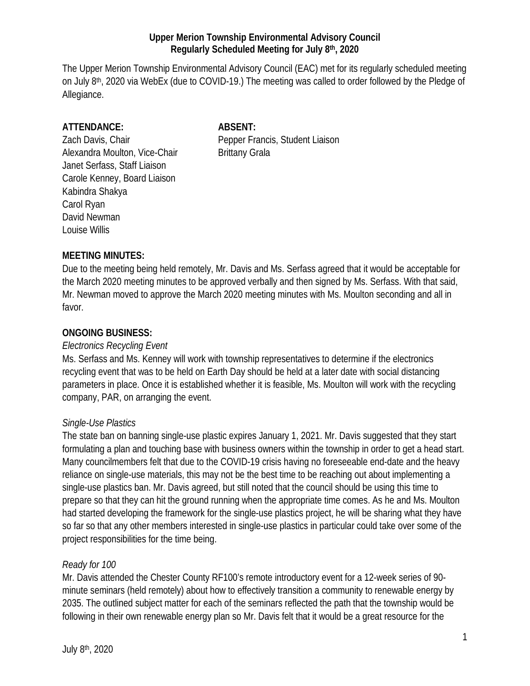### **Upper Merion Township Environmental Advisory Council Regularly Scheduled Meeting for July 8th, 2020**

The Upper Merion Township Environmental Advisory Council (EAC) met for its regularly scheduled meeting on July 8th, 2020 via WebEx (due to COVID-19.) The meeting was called to order followed by the Pledge of Allegiance.

### **ATTENDANCE: ABSENT:**

Alexandra Moulton, Vice-Chair Brittany Grala Janet Serfass, Staff Liaison Carole Kenney, Board Liaison Kabindra Shakya Carol Ryan David Newman Louise Willis

Zach Davis, Chair **Pepper Francis, Student Liaison** 

# **MEETING MINUTES:**

Due to the meeting being held remotely, Mr. Davis and Ms. Serfass agreed that it would be acceptable for the March 2020 meeting minutes to be approved verbally and then signed by Ms. Serfass. With that said, Mr. Newman moved to approve the March 2020 meeting minutes with Ms. Moulton seconding and all in favor.

## **ONGOING BUSINESS:**

### *Electronics Recycling Event*

Ms. Serfass and Ms. Kenney will work with township representatives to determine if the electronics recycling event that was to be held on Earth Day should be held at a later date with social distancing parameters in place. Once it is established whether it is feasible, Ms. Moulton will work with the recycling company, PAR, on arranging the event.

### *Single-Use Plastics*

The state ban on banning single-use plastic expires January 1, 2021. Mr. Davis suggested that they start formulating a plan and touching base with business owners within the township in order to get a head start. Many councilmembers felt that due to the COVID-19 crisis having no foreseeable end-date and the heavy reliance on single-use materials, this may not be the best time to be reaching out about implementing a single-use plastics ban. Mr. Davis agreed, but still noted that the council should be using this time to prepare so that they can hit the ground running when the appropriate time comes. As he and Ms. Moulton had started developing the framework for the single-use plastics project, he will be sharing what they have so far so that any other members interested in single-use plastics in particular could take over some of the project responsibilities for the time being.

# *Ready for 100*

Mr. Davis attended the Chester County RF100's remote introductory event for a 12-week series of 90 minute seminars (held remotely) about how to effectively transition a community to renewable energy by 2035. The outlined subject matter for each of the seminars reflected the path that the township would be following in their own renewable energy plan so Mr. Davis felt that it would be a great resource for the